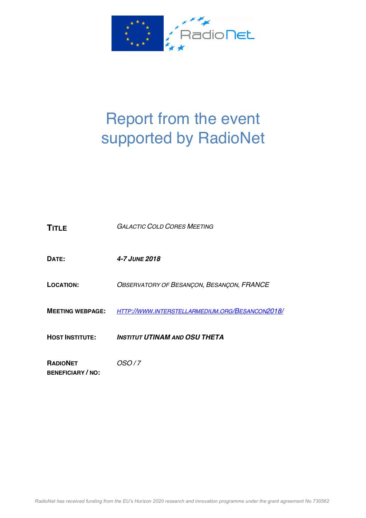

# Report from the event supported by RadioNet

| <b>TITLE</b>                                | <b>GALACTIC COLD CORES MEETING</b>               |
|---------------------------------------------|--------------------------------------------------|
| DATE:                                       | 4-7 JUNE 2018                                    |
| <b>LOCATION:</b>                            | <b>OBSERVATORY OF BESANÇON, BESANÇON, FRANCE</b> |
| <b>MEETING WEBPAGE:</b>                     | HTTP://WWW.INTERSTELLARMEDIUM.ORG/BESANCON2018/  |
| <b>HOST INSTITUTE:</b>                      | <b>INSTITUT UTINAM AND OSU THETA</b>             |
| <b>RADIONET</b><br><b>BENEFICIARY / NO:</b> | <i>OSO / 7</i>                                   |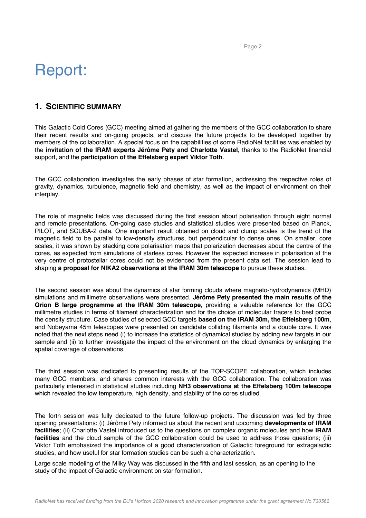## Report:

## **1. SCIENTIFIC SUMMARY**

This Galactic Cold Cores (GCC) meeting aimed at gathering the members of the GCC collaboration to share their recent results and on-going projects, and discuss the future projects to be developed together by members of the collaboration. A special focus on the capabilities of some RadioNet facilities was enabled by the **invitation of the IRAM experts Jérôme Pety and Charlotte Vastel**, thanks to the RadioNet financial support, and the **participation of the Effelsberg expert Viktor Toth**.

The GCC collaboration investigates the early phases of star formation, addressing the respective roles of gravity, dynamics, turbulence, magnetic field and chemistry, as well as the impact of environment on their interplay.

The role of magnetic fields was discussed during the first session about polarisation through eight normal and remote presentations. On-going case studies and statistical studies were presented based on Planck, PILOT, and SCUBA-2 data. One important result obtained on cloud and clump scales is the trend of the magnetic field to be parallel to low-density structures, but perpendicular to dense ones. On smaller, core scales, it was shown by stacking core polarisation maps that polarization decreases about the centre of the cores, as expected from simulations of starless cores. However the expected increase in polarisation at the very centre of protostellar cores could not be evidenced from the present data set. The session lead to shaping **a proposal for NIKA2 observations at the IRAM 30m telescope** to pursue these studies.

The second session was about the dynamics of star forming clouds where magneto-hydrodynamics (MHD) simulations and millimetre observations were presented. **Jérôme Pety presented the main results of the Orion B large programme at the IRAM 30m telescope**, providing a valuable reference for the GCC millimetre studies in terms of filament characterization and for the choice of molecular tracers to best probe the density structure. Case studies of selected GCC targets **based on the IRAM 30m, the Effelsberg 100m**, and Nobeyama 45m telescopes were presented on candidate colliding filaments and a double core. It was noted that the next steps need (i) to increase the statistics of dynamical studies by adding new targets in our sample and (ii) to further investigate the impact of the environment on the cloud dynamics by enlarging the spatial coverage of observations.

The third session was dedicated to presenting results of the TOP-SCOPE collaboration, which includes many GCC members, and shares common interests with the GCC collaboration. The collaboration was particularly interested in statistical studies including **NH3 observations at the Effelsberg 100m telescope** which revealed the low temperature, high density, and stability of the cores studied.

The forth session was fully dedicated to the future follow-up projects. The discussion was fed by three opening presentations: (i) Jérôme Pety informed us about the recent and upcoming **developments of IRAM facilities**; (ii) Charlotte Vastel introduced us to the questions on complex organic molecules and how **IRAM facilities** and the cloud sample of the GCC collaboration could be used to address those questions; (iii) Viktor Toth emphasized the importance of a good characterization of Galactic foreground for extragalactic studies, and how useful for star formation studies can be such a characterization.

Large scale modeling of the Milky Way was discussed in the fifth and last session, as an opening to the study of the impact of Galactic environment on star formation.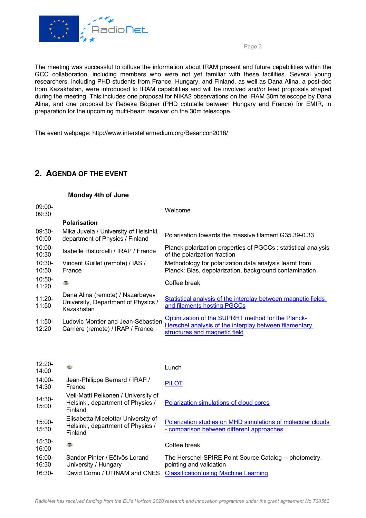

The meeting was successful to diffuse the information about IRAM present and future capabilities within the GCC collaboration, including members who were not yet familiar with these facilities. Several young researchers, including PHD students from France, Hungary, and Finland, as well as Dana Alina, a post-doc from Kazakhstan, were introduced to IRAM capabilities and will be involved and/or lead proposals shaped during the meeting. This includes one proposal for NIKA2 observations on the IRAM 30m telescope by Dana Alina, and one proposal by Rebeka Bögner (PHD cotutelle between Hungary and France) for EMIR, in preparation for the upcoming multi-beam receiver on the 30m telescope.

The event webpage: http://www.interstellarmedium.org/Besancon2018/

## **2. AGENDA OF THE EVENT**

12:20-

#### **Monday 4th of June**

| $09:00-$<br>09:30  |                                                                                       | Welcome                                                                                                                                      |  |
|--------------------|---------------------------------------------------------------------------------------|----------------------------------------------------------------------------------------------------------------------------------------------|--|
|                    | <b>Polarisation</b>                                                                   |                                                                                                                                              |  |
| $09:30-$<br>10:00  | Mika Juvela / University of Helsinki,<br>department of Physics / Finland              | Polarisation towards the massive filament G35.39-0.33                                                                                        |  |
| $10:00 -$<br>10:30 | Isabelle Ristorcelli / IRAP / France                                                  | Planck polarization properties of PGCCs : statistical analysis<br>of the polarization fraction                                               |  |
| $10:30-$<br>10:50  | Vincent Guillet (remote) / IAS /<br>France                                            | Methodology for polarization data analysis learnt from<br>Planck: Bias, depolarization, background contamination                             |  |
| $10:50-$<br>11:20  | ۰.                                                                                    | Coffee break                                                                                                                                 |  |
| $11:20 -$<br>11:50 | Dana Alina (remote) / Nazarbayev<br>University, Department of Physics /<br>Kazakhstan | Statistical analysis of the interplay between magnetic fields<br>and filaments hosting PGCCs                                                 |  |
| $11:50-$<br>12:20  | Ludovic Montier and Jean-Sébastien<br>Carrière (remote) / IRAP / France               | Optimization of the SUPRHT method for the Planck-<br>Herschel analysis of the interplay between filamentary<br>structures and magnetic field |  |
|                    |                                                                                       |                                                                                                                                              |  |

| 14.AV<br>14:00     |                                                                                     | Lunch                                                                                                    |
|--------------------|-------------------------------------------------------------------------------------|----------------------------------------------------------------------------------------------------------|
| $14:00-$<br>14:30  | Jean-Philippe Bernard / IRAP /<br>France                                            | <b>PILOT</b>                                                                                             |
| $14:30-$<br>15:00  | Veli-Matti Pelkonen / University of<br>Helsinki, department of Physics /<br>Finland | Polarization simulations of cloud cores                                                                  |
| $15:00 -$<br>15:30 | Elisabetta Micelotta/ University of<br>Helsinki, department of Physics /<br>Finland | Polarization studies on MHD simulations of molecular clouds<br>- comparison between different approaches |
| $15:30-$<br>16:00  | Ò                                                                                   | Coffee break                                                                                             |
| $16:00 -$<br>16:30 | Sandor Pinter / Eötvös Lorand<br>University / Hungary                               | The Herschel-SPIRE Point Source Catalog -- photometry,<br>pointing and validation                        |
| $16:30-$           | David Cornu / UTINAM and CNES                                                       | <b>Classification using Machine Learning</b>                                                             |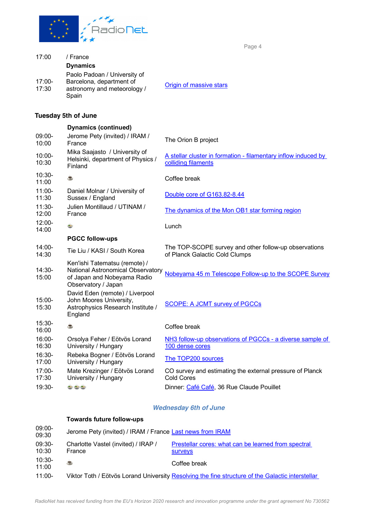

17:00 / France **Dynamics** 17:00- 17:30 Paolo Padoan / University of Barcelona, department of astronomy and meteorology / Spain **Origin of massive stars** 

#### **Tuesday 5th of June**

|                    | <b>Dynamics (continued)</b>                                                                                              |                                                                                         |
|--------------------|--------------------------------------------------------------------------------------------------------------------------|-----------------------------------------------------------------------------------------|
| 09:00-<br>10:00    | Jerome Pety (invited) / IRAM /<br>France                                                                                 | The Orion B project                                                                     |
| $10:00 -$<br>10:30 | Mika Saajasto / University of<br>Helsinki, department of Physics /<br>Finland                                            | A stellar cluster in formation - filamentary inflow induced by<br>colliding filaments   |
| $10:30-$<br>11:00  | $\bullet$                                                                                                                | Coffee break                                                                            |
| $11:00 -$<br>11:30 | Daniel Molnar / University of<br>Sussex / England                                                                        | Double core of G163.82-8.44                                                             |
| $11:30-$<br>12:00  | Julien Montillaud / UTINAM /<br>France                                                                                   | The dynamics of the Mon OB1 star forming region                                         |
| 12:00-<br>14:00    | $\bullet$                                                                                                                | Lunch                                                                                   |
|                    | <b>PGCC follow-ups</b>                                                                                                   |                                                                                         |
| 14:00-<br>14:30    | Tie Liu / KASI / South Korea                                                                                             | The TOP-SCOPE survey and other follow-up observations<br>of Planck Galactic Cold Clumps |
| 14:30-<br>15:00    | Ken'ishi Tatematsu (remote) /<br>National Astronomical Observatory<br>of Japan and Nobeyama Radio<br>Observatory / Japan | Nobeyama 45 m Telescope Follow-up to the SCOPE Survey                                   |
| 15:00-<br>15:30    | David Eden (remote) / Liverpool<br>John Moores University,<br>Astrophysics Research Institute /<br>England               | <b>SCOPE: A JCMT survey of PGCCs</b>                                                    |
| $15:30-$<br>16:00  | $\bullet$                                                                                                                | Coffee break                                                                            |
| 16:00-<br>16:30    | Orsolya Feher / Eötvös Lorand<br>University / Hungary                                                                    | NH3 follow-up observations of PGCCs - a diverse sample of<br>100 dense cores            |
| 16:30-<br>17:00    | Rebeka Bogner / Eötvös Lorand<br>University / Hungary                                                                    | The TOP200 sources                                                                      |
| $17:00 -$<br>17:30 | Mate Krezinger / Eötvös Lorand<br>University / Hungary                                                                   | CO survey and estimating the external pressure of Planck<br><b>Cold Cores</b>           |
| 19:30-             | $\bigoplus_{i=1}^n \bigoplus_{j=1}^n \bigoplus_{j=1}^n \bigoplus_{j=1}^n$                                                | Dinner: Café Café, 36 Rue Claude Pouillet                                               |

#### *Wednesday 6th of June*

#### **Towards future follow-ups**

| 09:00-<br>09:30   | Jerome Pety (invited) / IRAM / France Last news from IRAM |                                                                                                  |
|-------------------|-----------------------------------------------------------|--------------------------------------------------------------------------------------------------|
| 09:30-<br>10:30   | Charlotte Vastel (invited) / IRAP /<br>France             | Prestellar cores: what can be learned from spectral<br><b>SUIVEVS</b>                            |
| $10:30-$<br>11:00 | $\blacksquare$                                            | Coffee break                                                                                     |
| $11:00-$          |                                                           | Viktor Toth / Eötvös Lorand University Resolving the fine structure of the Galactic interstellar |

Page 4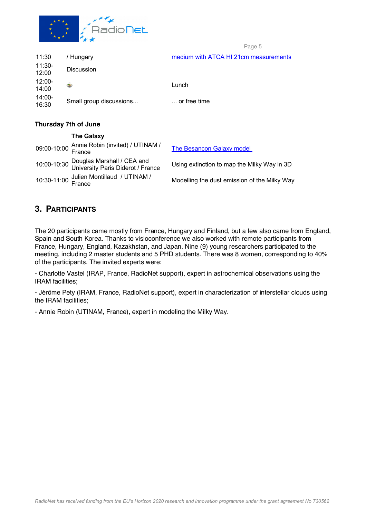

Page 5 11:30 / Hungary medium with ATCA HI 21cm measurements 11:30-  $11.50 - 12:00$  Discussion 12:00-<br>14:00 14:00 Lunch 14:00- 14.00-<br>16:30 Small group discussions... . ... or free time

#### **Thursday 7th of June**

| <b>The Galaxy</b>                                                           |                                              |
|-----------------------------------------------------------------------------|----------------------------------------------|
| 09:00-10:00 Annie Robin (invited) / UTINAM /                                | <b>The Besancon Galaxy model</b>             |
| 10:00-10:30 Douglas Marshall / CEA and<br>University Paris Diderot / France | Using extinction to map the Milky Way in 3D  |
| 10:30-11:00 Julien Montillaud / UTINAM /                                    | Modelling the dust emission of the Milky Way |

## **3. PARTICIPANTS**

The 20 participants came mostly from France, Hungary and Finland, but a few also came from England, Spain and South Korea. Thanks to visioconference we also worked with remote participants from France, Hungary, England, Kazakhstan, and Japan. Nine (9) young researchers participated to the meeting, including 2 master students and 5 PHD students. There was 8 women, corresponding to 40% of the participants. The invited experts were:

- Charlotte Vastel (IRAP, France, RadioNet support), expert in astrochemical observations using the IRAM facilities;

- Jérôme Pety (IRAM, France, RadioNet support), expert in characterization of interstellar clouds using the IRAM facilities;

- Annie Robin (UTINAM, France), expert in modeling the Milky Way.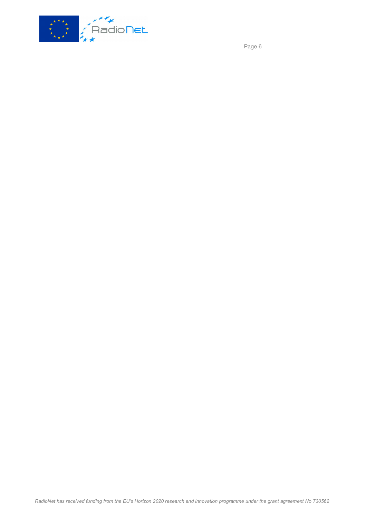

Page 6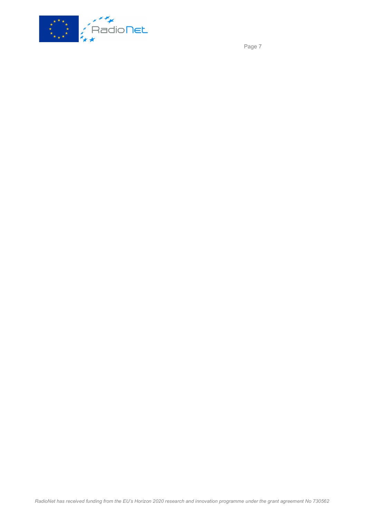

Page 7